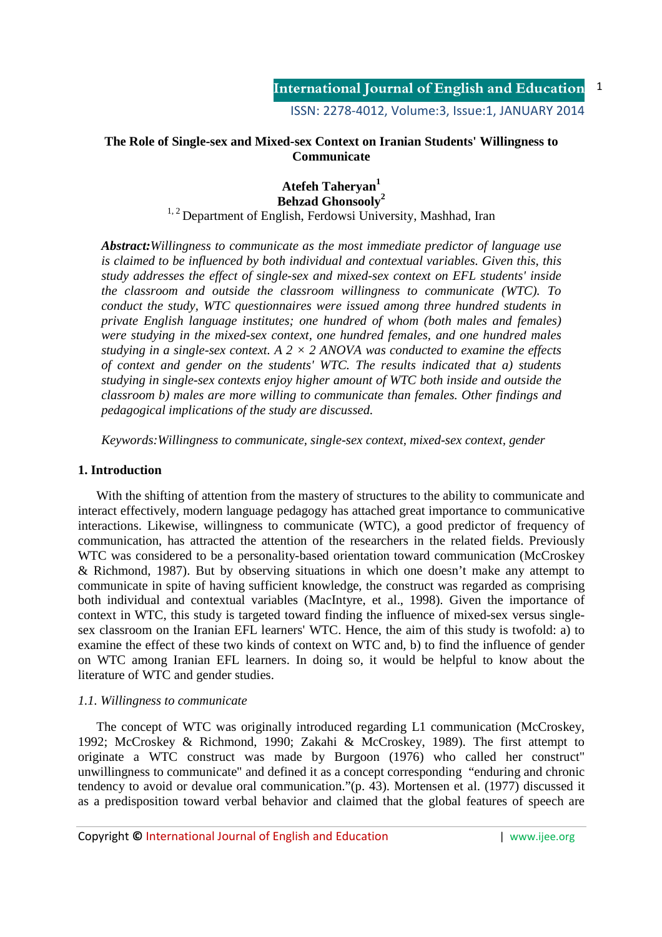## **The Role of Single-sex and Mixed-sex Context on Iranian Students' Willingness to Communicate**

## **Atefeh Taheryan<sup>1</sup> Behzad Ghonsooly<sup>2</sup>**

# <sup>1, 2</sup> Department of English, Ferdowsi University, Mashhad, Iran

*Abstract:Willingness to communicate as the most immediate predictor of language use is claimed to be influenced by both individual and contextual variables. Given this, this study addresses the effect of single-sex and mixed-sex context on EFL students' inside the classroom and outside the classroom willingness to communicate (WTC). To conduct the study, WTC questionnaires were issued among three hundred students in private English language institutes; one hundred of whom (both males and females) were studying in the mixed-sex context, one hundred females, and one hundred males studying in a single-sex context.* A  $2 \times 2$  ANOVA was conducted to examine the effects *of context and gender on the students' WTC. The results indicated that a) students studying in single-sex contexts enjoy higher amount of WTC both inside and outside the classroom b) males are more willing to communicate than females. Other findings and pedagogical implications of the study are discussed.* 

*Keywords:Willingness to communicate, single-sex context, mixed-sex context, gender*

### **1. Introduction**

With the shifting of attention from the mastery of structures to the ability to communicate and interact effectively, modern language pedagogy has attached great importance to communicative interactions. Likewise, willingness to communicate (WTC), a good predictor of frequency of communication, has attracted the attention of the researchers in the related fields. Previously WTC was considered to be a personality-based orientation toward communication (McCroskey & Richmond, 1987). But by observing situations in which one doesn't make any attempt to communicate in spite of having sufficient knowledge, the construct was regarded as comprising both individual and contextual variables (MacIntyre, et al., 1998). Given the importance of context in WTC, this study is targeted toward finding the influence of mixed-sex versus singlesex classroom on the Iranian EFL learners' WTC. Hence, the aim of this study is twofold: a) to examine the effect of these two kinds of context on WTC and, b) to find the influence of gender on WTC among Iranian EFL learners. In doing so, it would be helpful to know about the literature of WTC and gender studies.

### *1.1. Willingness to communicate*

The concept of WTC was originally introduced regarding L1 communication (McCroskey, 1992; McCroskey & Richmond, 1990; Zakahi & McCroskey, 1989). The first attempt to originate a WTC construct was made by Burgoon (1976) who called her construct" unwillingness to communicate" and defined it as a concept corresponding "enduring and chronic tendency to avoid or devalue oral communication."(p. 43). Mortensen et al. (1977) discussed it as a predisposition toward verbal behavior and claimed that the global features of speech are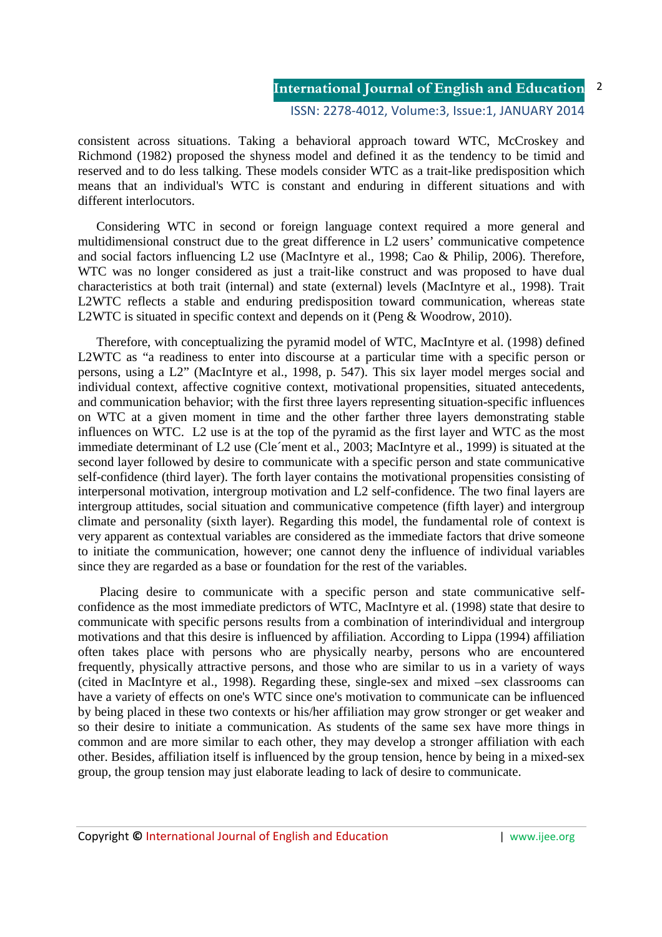2

ISSN: 2278-4012, Volume:3, Issue:1, JANUARY 2014

consistent across situations. Taking a behavioral approach toward WTC, McCroskey and Richmond (1982) proposed the shyness model and defined it as the tendency to be timid and reserved and to do less talking. These models consider WTC as a trait-like predisposition which means that an individual's WTC is constant and enduring in different situations and with different interlocutors.

Considering WTC in second or foreign language context required a more general and multidimensional construct due to the great difference in L2 users' communicative competence and social factors influencing L2 use (MacIntyre et al., 1998; Cao & Philip, 2006). Therefore, WTC was no longer considered as just a trait-like construct and was proposed to have dual characteristics at both trait (internal) and state (external) levels (MacIntyre et al., 1998). Trait L2WTC reflects a stable and enduring predisposition toward communication, whereas state L2WTC is situated in specific context and depends on it (Peng & Woodrow, 2010).

Therefore, with conceptualizing the pyramid model of WTC, MacIntyre et al. (1998) defined L2WTC as "a readiness to enter into discourse at a particular time with a specific person or persons, using a L2" (MacIntyre et al., 1998, p. 547). This six layer model merges social and individual context, affective cognitive context, motivational propensities, situated antecedents, and communication behavior; with the first three layers representing situation-specific influences on WTC at a given moment in time and the other farther three layers demonstrating stable influences on WTC. L2 use is at the top of the pyramid as the first layer and WTC as the most immediate determinant of L2 use (Cle´ment et al., 2003; MacIntyre et al., 1999) is situated at the second layer followed by desire to communicate with a specific person and state communicative self-confidence (third layer). The forth layer contains the motivational propensities consisting of interpersonal motivation, intergroup motivation and L2 self-confidence. The two final layers are intergroup attitudes, social situation and communicative competence (fifth layer) and intergroup climate and personality (sixth layer). Regarding this model, the fundamental role of context is very apparent as contextual variables are considered as the immediate factors that drive someone to initiate the communication, however; one cannot deny the influence of individual variables since they are regarded as a base or foundation for the rest of the variables.

 Placing desire to communicate with a specific person and state communicative selfconfidence as the most immediate predictors of WTC, MacIntyre et al. (1998) state that desire to communicate with specific persons results from a combination of interindividual and intergroup motivations and that this desire is influenced by affiliation. According to Lippa (1994) affiliation often takes place with persons who are physically nearby, persons who are encountered frequently, physically attractive persons, and those who are similar to us in a variety of ways (cited in MacIntyre et al., 1998). Regarding these, single-sex and mixed –sex classrooms can have a variety of effects on one's WTC since one's motivation to communicate can be influenced by being placed in these two contexts or his/her affiliation may grow stronger or get weaker and so their desire to initiate a communication. As students of the same sex have more things in common and are more similar to each other, they may develop a stronger affiliation with each other. Besides, affiliation itself is influenced by the group tension, hence by being in a mixed-sex group, the group tension may just elaborate leading to lack of desire to communicate.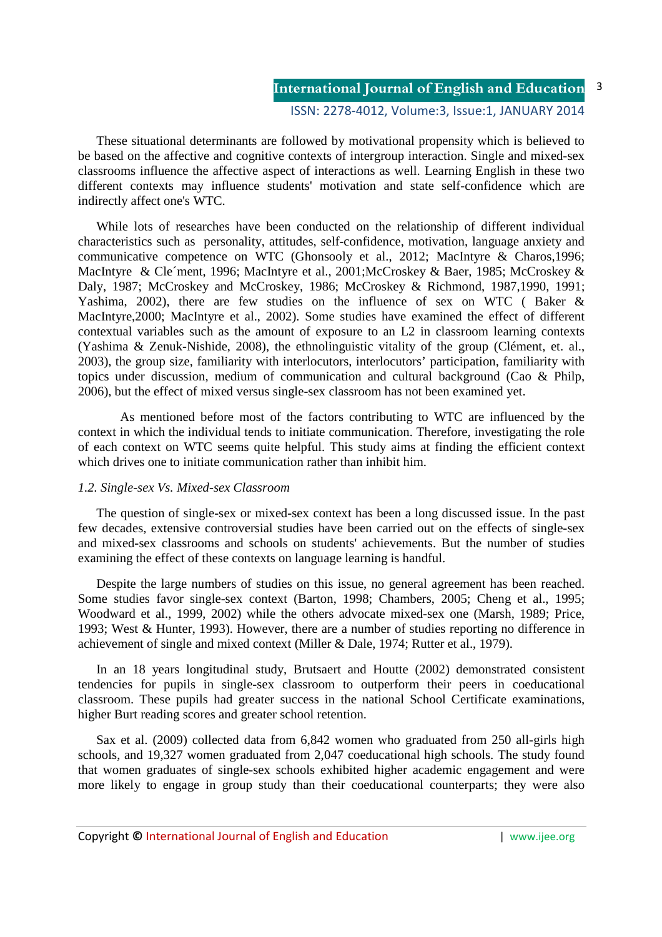These situational determinants are followed by motivational propensity which is believed to be based on the affective and cognitive contexts of intergroup interaction. Single and mixed-sex classrooms influence the affective aspect of interactions as well. Learning English in these two different contexts may influence students' motivation and state self-confidence which are indirectly affect one's WTC.

While lots of researches have been conducted on the relationship of different individual characteristics such as personality, attitudes, self-confidence, motivation, language anxiety and communicative competence on WTC (Ghonsooly et al., 2012; MacIntyre & Charos,1996; MacIntyre & Cle´ment, 1996; MacIntyre et al., 2001;McCroskey & Baer, 1985; McCroskey & Daly, 1987; McCroskey and McCroskey, 1986; McCroskey & Richmond, 1987,1990, 1991; Yashima, 2002), there are few studies on the influence of sex on WTC ( Baker & MacIntyre,2000; MacIntyre et al., 2002). Some studies have examined the effect of different contextual variables such as the amount of exposure to an L2 in classroom learning contexts (Yashima & Zenuk-Nishide, 2008), the ethnolinguistic vitality of the group (Clément, et. al., 2003), the group size, familiarity with interlocutors, interlocutors' participation, familiarity with topics under discussion, medium of communication and cultural background (Cao & Philp, 2006), but the effect of mixed versus single-sex classroom has not been examined yet.

 As mentioned before most of the factors contributing to WTC are influenced by the context in which the individual tends to initiate communication. Therefore, investigating the role of each context on WTC seems quite helpful. This study aims at finding the efficient context which drives one to initiate communication rather than inhibit him.

### *1.2. Single-sex Vs. Mixed-sex Classroom*

The question of single-sex or mixed-sex context has been a long discussed issue. In the past few decades, extensive controversial studies have been carried out on the effects of single-sex and mixed-sex classrooms and schools on students' achievements. But the number of studies examining the effect of these contexts on language learning is handful.

Despite the large numbers of studies on this issue, no general agreement has been reached. Some studies favor single-sex context (Barton, 1998; Chambers, 2005; Cheng et al., 1995; Woodward et al., 1999, 2002) while the others advocate mixed-sex one (Marsh*,* 1989; Price, 1993; West & Hunter, 1993). However, there are a number of studies reporting no difference in achievement of single and mixed context (Miller & Dale, 1974; Rutter et al., 1979).

In an 18 years longitudinal study, Brutsaert and Houtte (2002) demonstrated consistent tendencies for pupils in single-sex classroom to outperform their peers in coeducational classroom. These pupils had greater success in the national School Certificate examinations, higher Burt reading scores and greater school retention.

Sax et al. (2009) collected data from 6,842 women who graduated from 250 all-girls high schools, and 19,327 women graduated from 2,047 coeducational high schools. The study found that women graduates of single-sex schools exhibited higher academic engagement and were more likely to engage in group study than their coeducational counterparts; they were also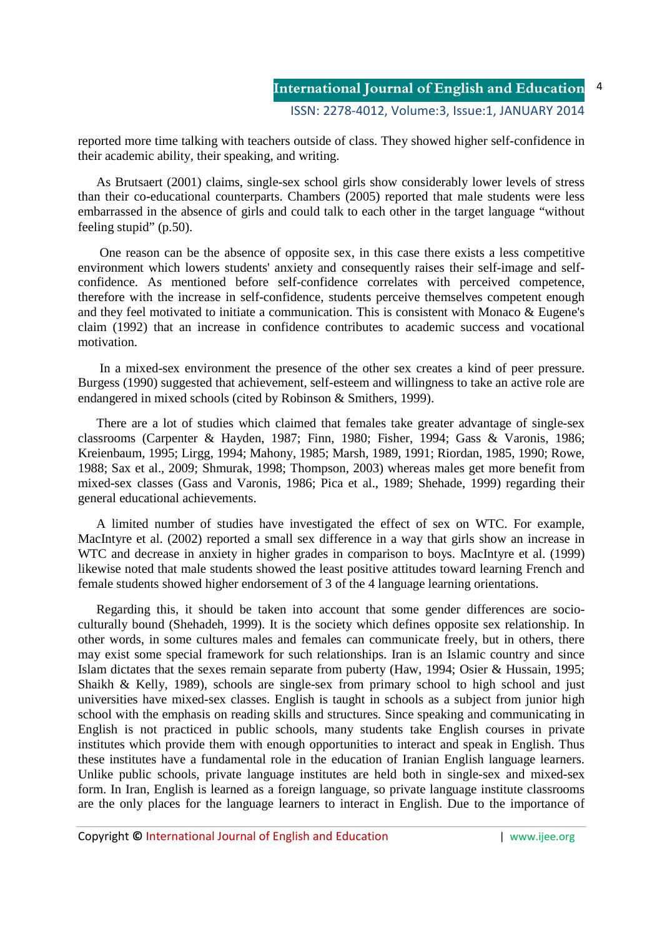reported more time talking with teachers outside of class. They showed higher self-confidence in their academic ability, their speaking, and writing.

As Brutsaert (2001) claims, single-sex school girls show considerably lower levels of stress than their co-educational counterparts. Chambers (2005) reported that male students were less embarrassed in the absence of girls and could talk to each other in the target language "without feeling stupid" (p.50).

 One reason can be the absence of opposite sex, in this case there exists a less competitive environment which lowers students' anxiety and consequently raises their self-image and selfconfidence. As mentioned before self-confidence correlates with perceived competence, therefore with the increase in self-confidence, students perceive themselves competent enough and they feel motivated to initiate a communication. This is consistent with Monaco & Eugene's claim (1992) that an increase in confidence contributes to academic success and vocational motivation.

 In a mixed-sex environment the presence of the other sex creates a kind of peer pressure. Burgess (1990) suggested that achievement, self-esteem and willingness to take an active role are endangered in mixed schools (cited by Robinson & Smithers, 1999).

There are a lot of studies which claimed that females take greater advantage of single-sex classrooms (Carpenter & Hayden, 1987; Finn, 1980; Fisher, 1994; Gass & Varonis, 1986; Kreienbaum, 1995; Lirgg, 1994; Mahony, 1985; Marsh, 1989, 1991; Riordan, 1985, 1990; Rowe, 1988; Sax et al., 2009; Shmurak, 1998; Thompson, 2003) whereas males get more benefit from mixed-sex classes (Gass and Varonis, 1986; Pica et al., 1989; Shehade, 1999) regarding their general educational achievements.

A limited number of studies have investigated the effect of sex on WTC. For example, MacIntyre et al. (2002) reported a small sex difference in a way that girls show an increase in WTC and decrease in anxiety in higher grades in comparison to boys. MacIntyre et al. (1999) likewise noted that male students showed the least positive attitudes toward learning French and female students showed higher endorsement of 3 of the 4 language learning orientations.

Regarding this, it should be taken into account that some gender differences are socioculturally bound (Shehadeh, 1999). It is the society which defines opposite sex relationship. In other words, in some cultures males and females can communicate freely, but in others, there may exist some special framework for such relationships. Iran is an Islamic country and since Islam dictates that the sexes remain separate from puberty (Haw, 1994; Osier & Hussain, 1995; Shaikh & Kelly, 1989), schools are single-sex from primary school to high school and just universities have mixed-sex classes. English is taught in schools as a subject from junior high school with the emphasis on reading skills and structures. Since speaking and communicating in English is not practiced in public schools, many students take English courses in private institutes which provide them with enough opportunities to interact and speak in English. Thus these institutes have a fundamental role in the education of Iranian English language learners. Unlike public schools, private language institutes are held both in single-sex and mixed-sex form. In Iran, English is learned as a foreign language, so private language institute classrooms are the only places for the language learners to interact in English. Due to the importance of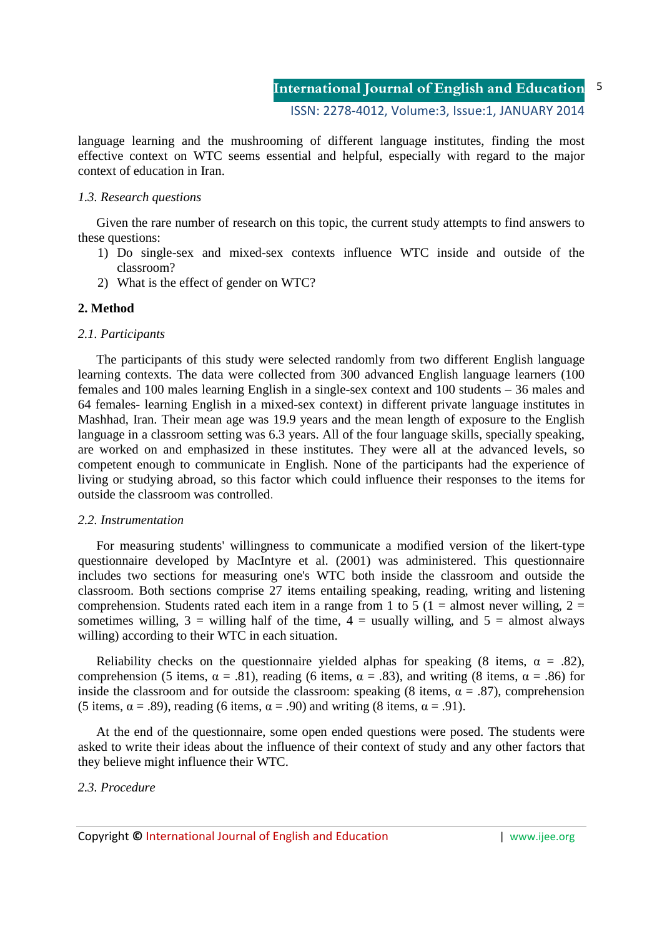language learning and the mushrooming of different language institutes, finding the most effective context on WTC seems essential and helpful, especially with regard to the major context of education in Iran.

#### *1.3. Research questions*

Given the rare number of research on this topic, the current study attempts to find answers to these questions:

- 1) Do single-sex and mixed-sex contexts influence WTC inside and outside of the classroom?
- 2) What is the effect of gender on WTC?

#### **2. Method**

#### *2.1. Participants*

The participants of this study were selected randomly from two different English language learning contexts. The data were collected from 300 advanced English language learners (100 females and 100 males learning English in a single-sex context and 100 students – 36 males and 64 females- learning English in a mixed-sex context) in different private language institutes in Mashhad, Iran. Their mean age was 19.9 years and the mean length of exposure to the English language in a classroom setting was 6.3 years. All of the four language skills, specially speaking, are worked on and emphasized in these institutes. They were all at the advanced levels, so competent enough to communicate in English. None of the participants had the experience of living or studying abroad, so this factor which could influence their responses to the items for outside the classroom was controlled.

#### *2.2. Instrumentation*

For measuring students' willingness to communicate a modified version of the likert-type questionnaire developed by MacIntyre et al. (2001) was administered. This questionnaire includes two sections for measuring one's WTC both inside the classroom and outside the classroom. Both sections comprise 27 items entailing speaking, reading, writing and listening comprehension. Students rated each item in a range from 1 to 5 (1 = almost never willing, 2 = sometimes willing,  $3 =$  willing half of the time,  $4 =$  usually willing, and  $5 =$  almost always willing) according to their WTC in each situation.

Reliability checks on the questionnaire yielded alphas for speaking (8 items,  $\alpha = .82$ ), comprehension (5 items,  $\alpha = .81$ ), reading (6 items,  $\alpha = .83$ ), and writing (8 items,  $\alpha = .86$ ) for inside the classroom and for outside the classroom: speaking (8 items,  $\alpha = .87$ ), comprehension (5 items,  $\alpha = .89$ ), reading (6 items,  $\alpha = .90$ ) and writing (8 items,  $\alpha = .91$ ).

At the end of the questionnaire, some open ended questions were posed. The students were asked to write their ideas about the influence of their context of study and any other factors that they believe might influence their WTC.

### *2.3. Procedure*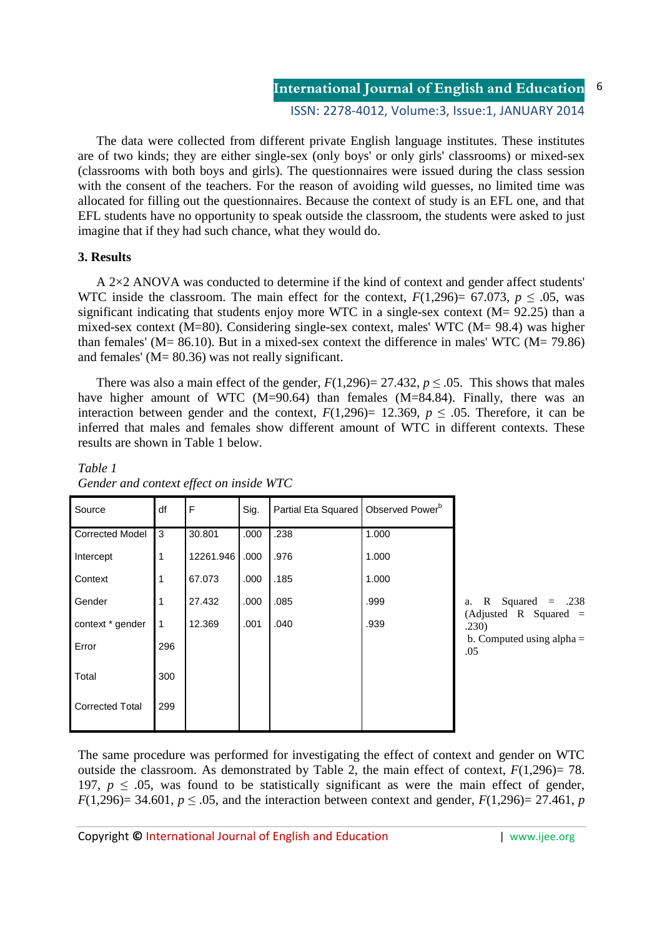The data were collected from different private English language institutes. These institutes are of two kinds; they are either single-sex (only boys' or only girls' classrooms) or mixed-sex (classrooms with both boys and girls). The questionnaires were issued during the class session with the consent of the teachers. For the reason of avoiding wild guesses, no limited time was allocated for filling out the questionnaires. Because the context of study is an EFL one, and that EFL students have no opportunity to speak outside the classroom, the students were asked to just imagine that if they had such chance, what they would do.

### **3. Results**

A 2×2 ANOVA was conducted to determine if the kind of context and gender affect students' WTC inside the classroom. The main effect for the context,  $F(1,296)= 67.073$ ,  $p \le .05$ , was significant indicating that students enjoy more WTC in a single-sex context (M= 92.25) than a mixed-sex context (M=80). Considering single-sex context, males' WTC (M= 98.4) was higher than females' ( $M = 86.10$ ). But in a mixed-sex context the difference in males' WTC ( $M = 79.86$ ) and females' (M= 80.36) was not really significant.

There was also a main effect of the gender,  $F(1,296)= 27.432$ ,  $p \le 0.05$ . This shows that males have higher amount of WTC (M=90.64) than females (M=84.84). Finally, there was an interaction between gender and the context,  $F(1,296)= 12.369$ ,  $p \le .05$ . Therefore, it can be inferred that males and females show different amount of WTC in different contexts. These results are shown in Table 1 below.

| Source                 | df          | F         | Sig. | Partial Eta Squared   Observed Power <sup>b</sup> |       |              |
|------------------------|-------------|-----------|------|---------------------------------------------------|-------|--------------|
| <b>Corrected Model</b> | 3           | 30.801    | .000 | .238                                              | 1.000 |              |
| Intercept              |             | 12261.946 | .000 | .976                                              | 1.000 |              |
| Context                |             | 67.073    | .000 | .185                                              | 1.000 |              |
| Gender                 |             | 27.432    | .000 | .085                                              | .999  | a.           |
| context * gender       | $\mathbf 1$ | 12.369    | .001 | .040                                              | .939  | (Adj<br>.230 |
| Error                  | 296         |           |      |                                                   |       | b. C<br>.05  |
| Total                  | 300         |           |      |                                                   |       |              |
| <b>Corrected Total</b> | 299         |           |      |                                                   |       |              |

## *Table 1 Gender and context effect on inside WTC*

R Squared  $=$  .238 justed R Squared  $=$ .230) Computed using alpha  $=$ 

The same procedure was performed for investigating the effect of context and gender on WTC outside the classroom. As demonstrated by Table 2, the main effect of context,  $F(1,296) = 78$ . 197,  $p \leq 0.05$ , was found to be statistically significant as were the main effect of gender, *F*(1,296)= 34.601,  $p \le 0.05$ , and the interaction between context and gender, *F*(1,296)= 27.461, *p*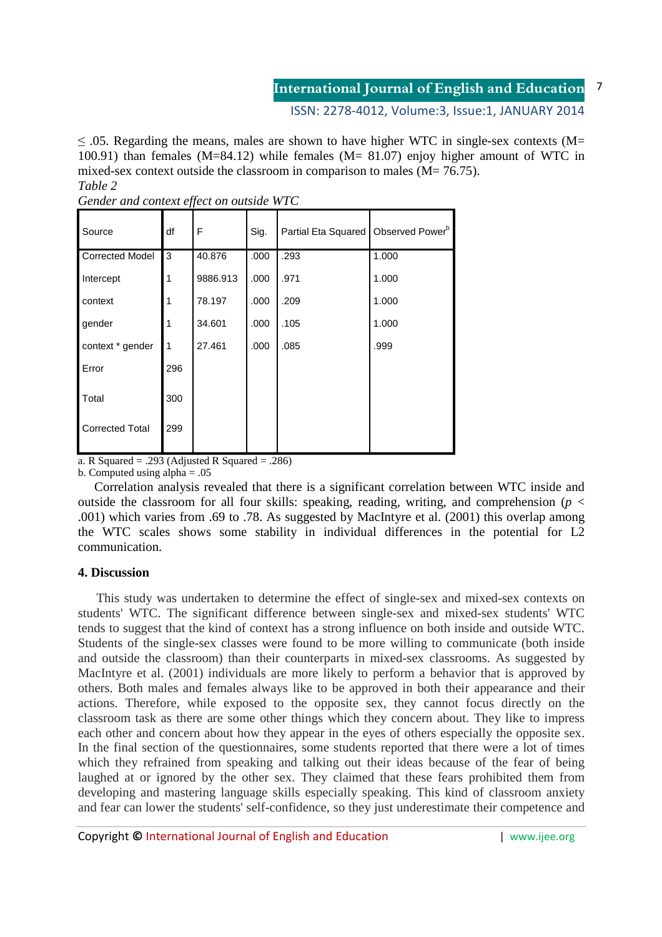#### **International Journal of English and Education** 7

ISSN: 2278-4012, Volume:3, Issue:1, JANUARY 2014

 $\leq$  .05. Regarding the means, males are shown to have higher WTC in single-sex contexts (M= 100.91) than females (M=84.12) while females (M= 81.07) enjoy higher amount of WTC in mixed-sex context outside the classroom in comparison to males  $(M= 76.75)$ . *Table 2* 

| Source                 | df  | F        | Sig. | Partial Eta Squared   Observed Power <sup>b</sup> |       |
|------------------------|-----|----------|------|---------------------------------------------------|-------|
| <b>Corrected Model</b> | 3   | 40.876   | .000 | .293                                              | 1.000 |
| Intercept              | 1   | 9886.913 | .000 | .971                                              | 1.000 |
| context                | 1   | 78.197   | .000 | .209                                              | 1.000 |
| gender                 | 1   | 34.601   | .000 | .105                                              | 1.000 |
| context * gender       | 1   | 27.461   | .000 | .085                                              | .999  |
| Error                  | 296 |          |      |                                                   |       |
| Total                  | 300 |          |      |                                                   |       |
| <b>Corrected Total</b> | 299 |          |      |                                                   |       |

*Gender and context effect on outside WTC* 

a. R Squared  $= .293$  (Adjusted R Squared  $= .286$ )

b. Computed using alpha  $= .05$ 

 Correlation analysis revealed that there is a significant correlation between WTC inside and outside the classroom for all four skills: speaking, reading, writing, and comprehension ( $p <$ .001) which varies from .69 to .78. As suggested by MacIntyre et al. (2001) this overlap among the WTC scales shows some stability in individual differences in the potential for L2 communication.

# **4. Discussion**

This study was undertaken to determine the effect of single-sex and mixed-sex contexts on students' WTC. The significant difference between single-sex and mixed-sex students' WTC tends to suggest that the kind of context has a strong influence on both inside and outside WTC. Students of the single-sex classes were found to be more willing to communicate (both inside and outside the classroom) than their counterparts in mixed-sex classrooms. As suggested by MacIntyre et al. (2001) individuals are more likely to perform a behavior that is approved by others. Both males and females always like to be approved in both their appearance and their actions. Therefore, while exposed to the opposite sex, they cannot focus directly on the classroom task as there are some other things which they concern about. They like to impress each other and concern about how they appear in the eyes of others especially the opposite sex. In the final section of the questionnaires, some students reported that there were a lot of times which they refrained from speaking and talking out their ideas because of the fear of being laughed at or ignored by the other sex. They claimed that these fears prohibited them from developing and mastering language skills especially speaking. This kind of classroom anxiety and fear can lower the students' self-confidence, so they just underestimate their competence and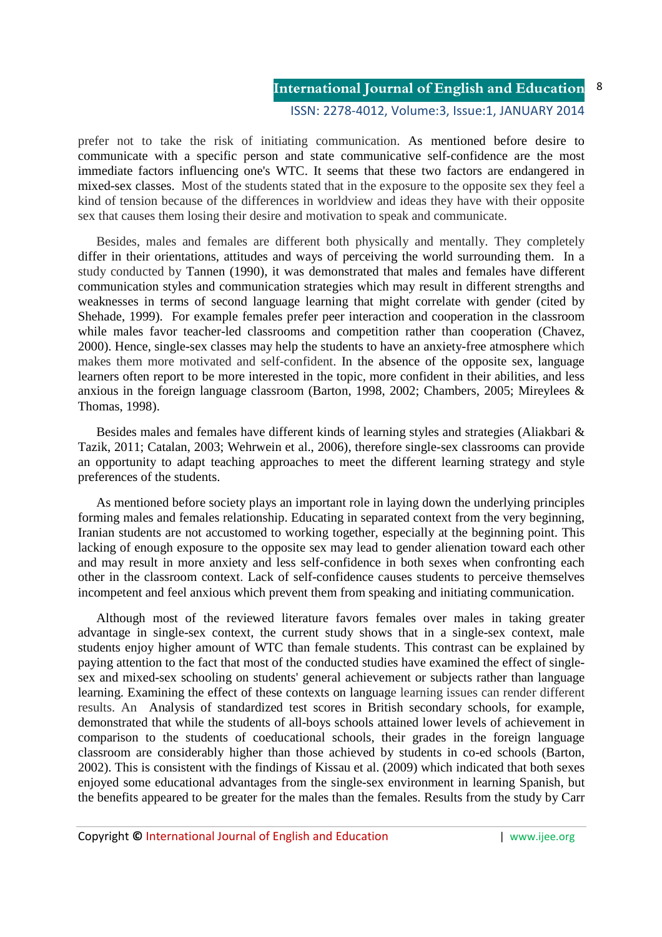# **International Journal of English and Education**

#### ISSN: 2278-4012, Volume:3, Issue:1, JANUARY 2014

prefer not to take the risk of initiating communication. As mentioned before desire to communicate with a specific person and state communicative self-confidence are the most immediate factors influencing one's WTC. It seems that these two factors are endangered in mixed-sex classes. Most of the students stated that in the exposure to the opposite sex they feel a kind of tension because of the differences in worldview and ideas they have with their opposite sex that causes them losing their desire and motivation to speak and communicate.

Besides, males and females are different both physically and mentally. They completely differ in their orientations, attitudes and ways of perceiving the world surrounding them. In a study conducted by Tannen (1990), it was demonstrated that males and females have different communication styles and communication strategies which may result in different strengths and weaknesses in terms of second language learning that might correlate with gender (cited by Shehade, 1999). For example females prefer peer interaction and cooperation in the classroom while males favor teacher-led classrooms and competition rather than cooperation (Chavez, 2000). Hence, single-sex classes may help the students to have an anxiety-free atmosphere which makes them more motivated and self-confident. In the absence of the opposite sex, language learners often report to be more interested in the topic, more confident in their abilities, and less anxious in the foreign language classroom (Barton, 1998, 2002; Chambers, 2005; Mireylees & Thomas, 1998).

Besides males and females have different kinds of learning styles and strategies (Aliakbari & Tazik, 2011; Catalan, 2003; Wehrwein et al., 2006), therefore single-sex classrooms can provide an opportunity to adapt teaching approaches to meet the different learning strategy and style preferences of the students.

As mentioned before society plays an important role in laying down the underlying principles forming males and females relationship. Educating in separated context from the very beginning, Iranian students are not accustomed to working together, especially at the beginning point. This lacking of enough exposure to the opposite sex may lead to gender alienation toward each other and may result in more anxiety and less self-confidence in both sexes when confronting each other in the classroom context. Lack of self-confidence causes students to perceive themselves incompetent and feel anxious which prevent them from speaking and initiating communication.

Although most of the reviewed literature favors females over males in taking greater advantage in single-sex context, the current study shows that in a single-sex context, male students enjoy higher amount of WTC than female students. This contrast can be explained by paying attention to the fact that most of the conducted studies have examined the effect of singlesex and mixed-sex schooling on students' general achievement or subjects rather than language learning. Examining the effect of these contexts on language learning issues can render different results. An Analysis of standardized test scores in British secondary schools, for example, demonstrated that while the students of all-boys schools attained lower levels of achievement in comparison to the students of coeducational schools, their grades in the foreign language classroom are considerably higher than those achieved by students in co-ed schools (Barton, 2002). This is consistent with the findings of Kissau et al. (2009) which indicated that both sexes enjoyed some educational advantages from the single-sex environment in learning Spanish, but the benefits appeared to be greater for the males than the females. Results from the study by Carr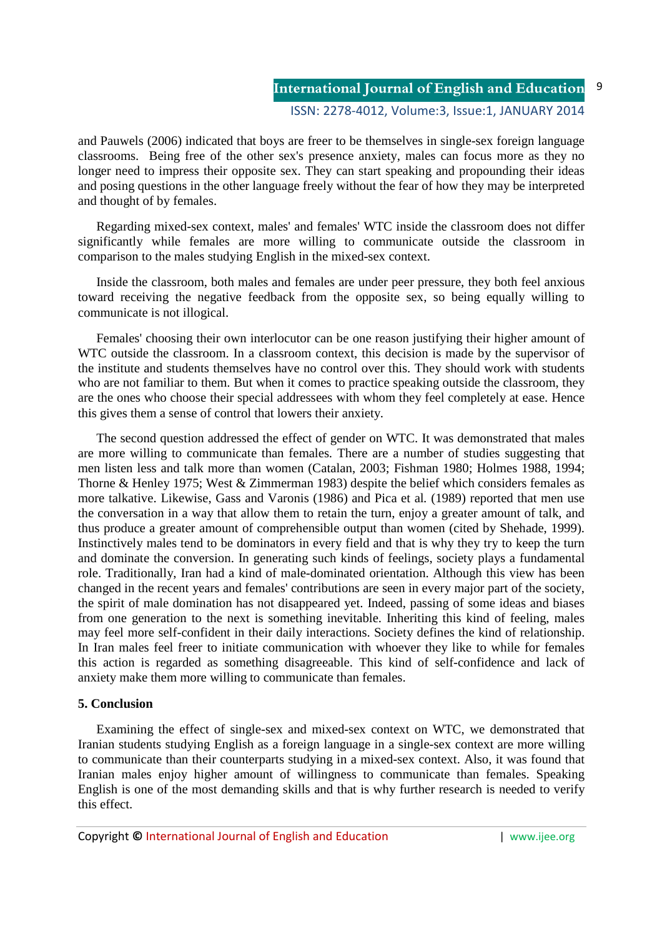9

and Pauwels (2006) indicated that boys are freer to be themselves in single-sex foreign language classrooms. Being free of the other sex's presence anxiety, males can focus more as they no longer need to impress their opposite sex. They can start speaking and propounding their ideas and posing questions in the other language freely without the fear of how they may be interpreted and thought of by females.

Regarding mixed-sex context, males' and females' WTC inside the classroom does not differ significantly while females are more willing to communicate outside the classroom in comparison to the males studying English in the mixed-sex context.

Inside the classroom, both males and females are under peer pressure, they both feel anxious toward receiving the negative feedback from the opposite sex, so being equally willing to communicate is not illogical.

Females' choosing their own interlocutor can be one reason justifying their higher amount of WTC outside the classroom. In a classroom context, this decision is made by the supervisor of the institute and students themselves have no control over this. They should work with students who are not familiar to them. But when it comes to practice speaking outside the classroom, they are the ones who choose their special addressees with whom they feel completely at ease. Hence this gives them a sense of control that lowers their anxiety.

The second question addressed the effect of gender on WTC. It was demonstrated that males are more willing to communicate than females. There are a number of studies suggesting that men listen less and talk more than women (Catalan, 2003; Fishman 1980; Holmes 1988, 1994; Thorne & Henley 1975; West & Zimmerman 1983) despite the belief which considers females as more talkative. Likewise, Gass and Varonis (1986) and Pica et al*.* (1989) reported that men use the conversation in a way that allow them to retain the turn, enjoy a greater amount of talk, and thus produce a greater amount of comprehensible output than women (cited by Shehade, 1999). Instinctively males tend to be dominators in every field and that is why they try to keep the turn and dominate the conversion. In generating such kinds of feelings, society plays a fundamental role. Traditionally, Iran had a kind of male-dominated orientation. Although this view has been changed in the recent years and females' contributions are seen in every major part of the society, the spirit of male domination has not disappeared yet. Indeed, passing of some ideas and biases from one generation to the next is something inevitable. Inheriting this kind of feeling, males may feel more self-confident in their daily interactions. Society defines the kind of relationship. In Iran males feel freer to initiate communication with whoever they like to while for females this action is regarded as something disagreeable. This kind of self-confidence and lack of anxiety make them more willing to communicate than females.

### **5. Conclusion**

Examining the effect of single-sex and mixed-sex context on WTC, we demonstrated that Iranian students studying English as a foreign language in a single-sex context are more willing to communicate than their counterparts studying in a mixed-sex context. Also, it was found that Iranian males enjoy higher amount of willingness to communicate than females. Speaking English is one of the most demanding skills and that is why further research is needed to verify this effect.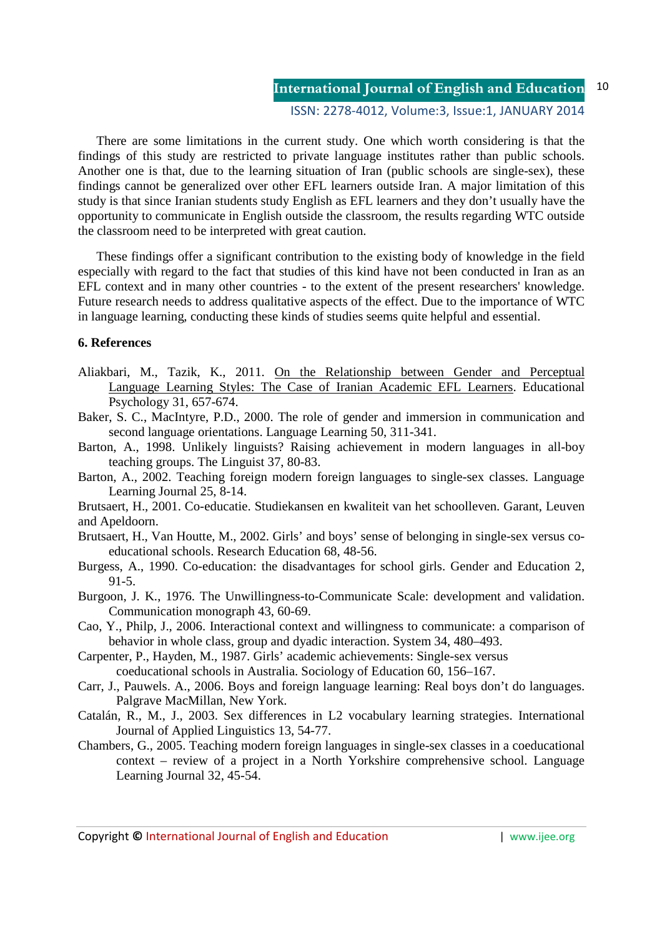#### **International Journal of English and Education** ISSN: 2278-4012, Volume:3, Issue:1, JANUARY 2014 10

There are some limitations in the current study. One which worth considering is that the findings of this study are restricted to private language institutes rather than public schools. Another one is that, due to the learning situation of Iran (public schools are single-sex), these findings cannot be generalized over other EFL learners outside Iran. A major limitation of this study is that since Iranian students study English as EFL learners and they don't usually have the opportunity to communicate in English outside the classroom, the results regarding WTC outside the classroom need to be interpreted with great caution.

These findings offer a significant contribution to the existing body of knowledge in the field especially with regard to the fact that studies of this kind have not been conducted in Iran as an EFL context and in many other countries - to the extent of the present researchers' knowledge. Future research needs to address qualitative aspects of the effect. Due to the importance of WTC in language learning, conducting these kinds of studies seems quite helpful and essential.

### **6. References**

- Aliakbari, M., Tazik, K., 2011. On the Relationship between Gender and Perceptual Language Learning Styles: The Case of Iranian Academic EFL Learners. Educational Psychology 31, 657-674.
- Baker, S. C., MacIntyre, P.D., 2000. The role of gender and immersion in communication and second language orientations. Language Learning 50, 311-341.
- Barton, A., 1998. Unlikely linguists? Raising achievement in modern languages in all-boy teaching groups. The Linguist 37, 80-83.
- Barton, A., 2002. Teaching foreign modern foreign languages to single-sex classes. Language Learning Journal 25, 8-14.
- Brutsaert, H., 2001. Co-educatie. Studiekansen en kwaliteit van het schoolleven. Garant, Leuven and Apeldoorn.
- Brutsaert, H., Van Houtte, M., 2002. Girls' and boys' sense of belonging in single-sex versus coeducational schools. Research Education 68, 48-56.
- Burgess, A., 1990. Co-education: the disadvantages for school girls. Gender and Education 2, 91-5.
- Burgoon, J. K., 1976. The Unwillingness-to-Communicate Scale: development and validation. Communication monograph 43, 60-69.
- Cao, Y., Philp, J., 2006. Interactional context and willingness to communicate: a comparison of behavior in whole class, group and dyadic interaction. System 34, 480–493.
- Carpenter, P., Hayden, M., 1987. Girls' academic achievements: Single-sex versus coeducational schools in Australia. Sociology of Education 60, 156–167.
- Carr, J., Pauwels. A., 2006. Boys and foreign language learning: Real boys don't do languages. Palgrave MacMillan, New York.
- Catalán, R., M., J., 2003. Sex differences in L2 vocabulary learning strategies. International Journal of Applied Linguistics 13, 54-77.
- Chambers, G., 2005. Teaching modern foreign languages in single-sex classes in a coeducational context – review of a project in a North Yorkshire comprehensive school. Language Learning Journal 32, 45-54.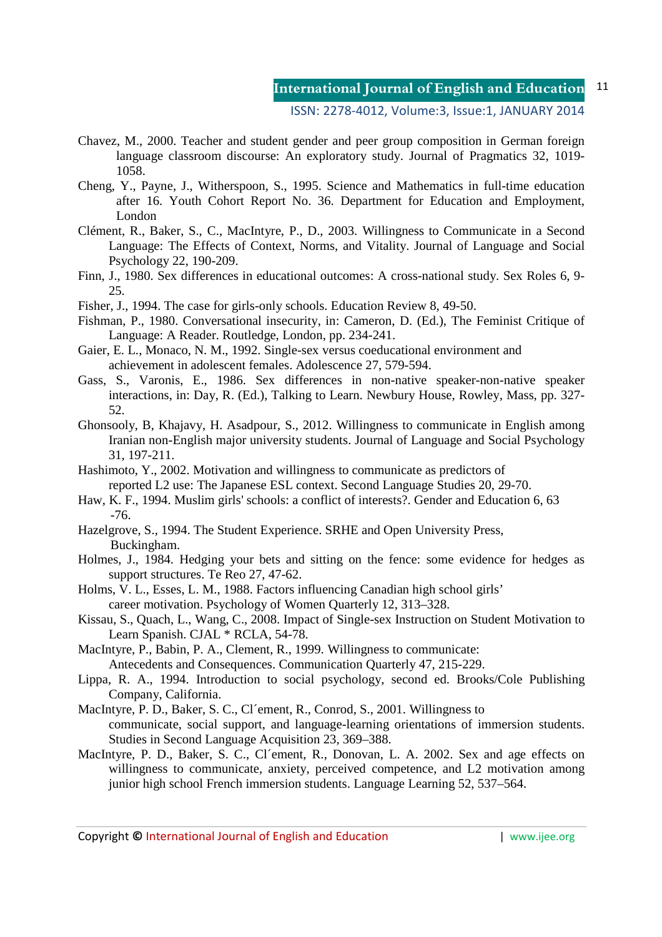#### **International Journal of English and Education** 11

#### ISSN: 2278-4012, Volume:3, Issue:1, JANUARY 2014

- Chavez, M., 2000. Teacher and student gender and peer group composition in German foreign language classroom discourse: An exploratory study. Journal of Pragmatics 32, 1019- 1058.
- Cheng, Y., Payne, J., Witherspoon, S., 1995. Science and Mathematics in full-time education after 16. Youth Cohort Report No. 36. Department for Education and Employment, London
- Clément, R., Baker, S., C., MacIntyre, P., D., 2003. Willingness to Communicate in a Second Language: The Effects of Context, Norms, and Vitality. Journal of Language and Social Psychology 22, 190-209.
- Finn, J., 1980. Sex differences in educational outcomes: A cross-national study. Sex Roles 6, 9- 25.
- Fisher, J., 1994. The case for girls-only schools. Education Review 8, 49-50.
- Fishman, P., 1980. Conversational insecurity, in: Cameron, D. (Ed.), The Feminist Critique of Language: A Reader. Routledge, London, pp. 234-241.
- Gaier, E. L., Monaco, N. M., 1992. Single-sex versus coeducational environment and achievement in adolescent females. Adolescence 27, 579-594.
- Gass, S., Varonis, E., 1986. Sex differences in non-native speaker-non-native speaker interactions, in: Day, R. (Ed.), Talking to Learn. Newbury House, Rowley, Mass, pp. 327- 52.
- Ghonsooly, B, Khajavy, H. Asadpour, S., 2012. Willingness to communicate in English among Iranian non-English major university students. Journal of Language and Social Psychology 31, 197-211.
- Hashimoto, Y., 2002. Motivation and willingness to communicate as predictors of reported L2 use: The Japanese ESL context. Second Language Studies 20, 29-70.
- Haw, K. F., 1994. Muslim girls' schools: a conflict of interests?. Gender and Education 6, 63 -76.
- Hazelgrove, S., 1994. The Student Experience. SRHE and Open University Press, Buckingham.
- Holmes, J., 1984. Hedging your bets and sitting on the fence: some evidence for hedges as support structures. Te Reo 27, 47-62.
- Holms, V. L., Esses, L. M., 1988. Factors influencing Canadian high school girls' career motivation. Psychology of Women Quarterly 12, 313–328.
- Kissau, S., Quach, L., Wang, C., 2008. Impact of Single-sex Instruction on Student Motivation to Learn Spanish. CJAL \* RCLA, 54-78.
- MacIntyre, P., Babin, P. A., Clement, R., 1999. Willingness to communicate: Antecedents and Consequences. Communication Quarterly 47, 215-229.
- Lippa, R. A., 1994. Introduction to social psychology, second ed. Brooks/Cole Publishing Company, California.
- MacIntyre, P. D., Baker, S. C., Cl´ement, R., Conrod, S., 2001. Willingness to communicate, social support, and language-learning orientations of immersion students. Studies in Second Language Acquisition 23, 369–388.
- MacIntyre, P. D., Baker, S. C., Cl´ement, R., Donovan, L. A. 2002. Sex and age effects on willingness to communicate, anxiety, perceived competence, and L2 motivation among junior high school French immersion students. Language Learning 52, 537–564.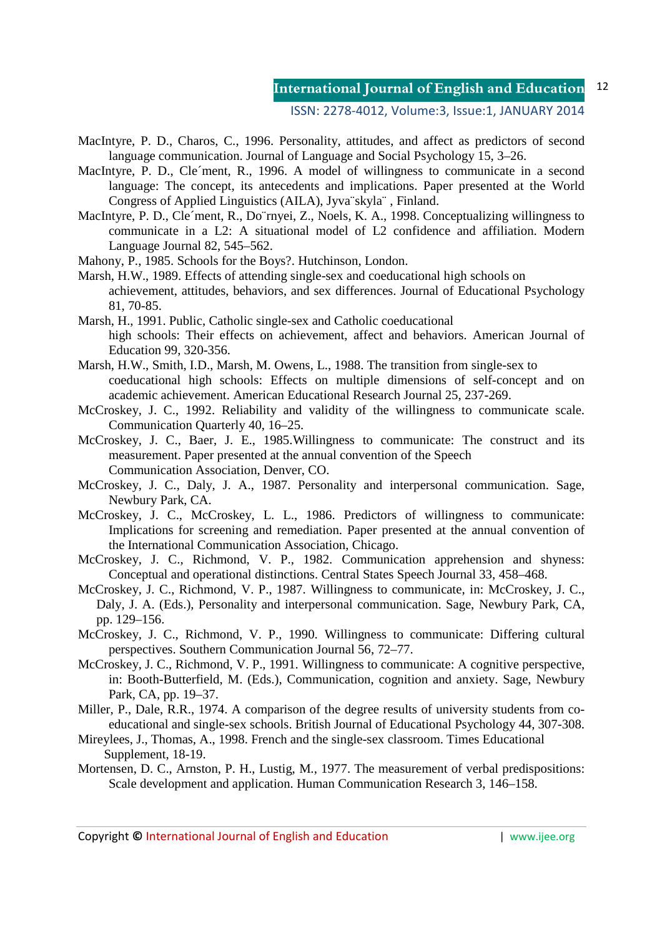- MacIntyre, P. D., Charos, C., 1996. Personality, attitudes, and affect as predictors of second language communication. Journal of Language and Social Psychology 15, 3–26.
- MacIntyre, P. D., Cle'ment, R., 1996. A model of willingness to communicate in a second language: The concept, its antecedents and implications. Paper presented at the World Congress of Applied Linguistics (AILA), Jyva¨skyla¨ , Finland.
- MacIntyre, P. D., Cle´ment, R., Do¨rnyei, Z., Noels, K. A., 1998. Conceptualizing willingness to communicate in a L2: A situational model of L2 confidence and affiliation. Modern Language Journal 82, 545–562.
- Mahony, P., 1985. Schools for the Boys?. Hutchinson, London.
- Marsh, H.W., 1989. Effects of attending single-sex and coeducational high schools on achievement, attitudes, behaviors, and sex differences. Journal of Educational Psychology 81, 70-85.
- Marsh, H., 1991. Public, Catholic single-sex and Catholic coeducational high schools: Their effects on achievement, affect and behaviors. American Journal of Education 99, 320-356.
- Marsh, H.W., Smith, I.D., Marsh, M. Owens, L., 1988. The transition from single-sex to coeducational high schools: Effects on multiple dimensions of self-concept and on academic achievement. American Educational Research Journal 25, 237-269.
- McCroskey, J. C., 1992. Reliability and validity of the willingness to communicate scale. Communication Quarterly 40, 16–25.
- McCroskey, J. C., Baer, J. E., 1985.Willingness to communicate: The construct and its measurement. Paper presented at the annual convention of the Speech Communication Association, Denver, CO.
- McCroskey, J. C., Daly, J. A., 1987. Personality and interpersonal communication. Sage, Newbury Park, CA.
- McCroskey, J. C., McCroskey, L. L., 1986. Predictors of willingness to communicate: Implications for screening and remediation. Paper presented at the annual convention of the International Communication Association, Chicago.
- McCroskey, J. C., Richmond, V. P., 1982. Communication apprehension and shyness: Conceptual and operational distinctions. Central States Speech Journal 33, 458–468.
- McCroskey, J. C., Richmond, V. P., 1987. Willingness to communicate, in: McCroskey, J. C., Daly, J. A. (Eds.), Personality and interpersonal communication. Sage, Newbury Park, CA, pp. 129–156.
- McCroskey, J. C., Richmond, V. P., 1990. Willingness to communicate: Differing cultural perspectives. Southern Communication Journal 56, 72–77.
- McCroskey, J. C., Richmond, V. P., 1991. Willingness to communicate: A cognitive perspective, in: Booth-Butterfield, M. (Eds.), Communication, cognition and anxiety. Sage, Newbury Park, CA, pp. 19–37.
- Miller, P., Dale, R.R., 1974. A comparison of the degree results of university students from coeducational and single-sex schools. British Journal of Educational Psychology 44, 307-308.
- Mireylees, J., Thomas, A., 1998. French and the single-sex classroom. Times Educational Supplement, 18-19.
- Mortensen, D. C., Arnston, P. H., Lustig, M., 1977. The measurement of verbal predispositions: Scale development and application. Human Communication Research 3, 146–158.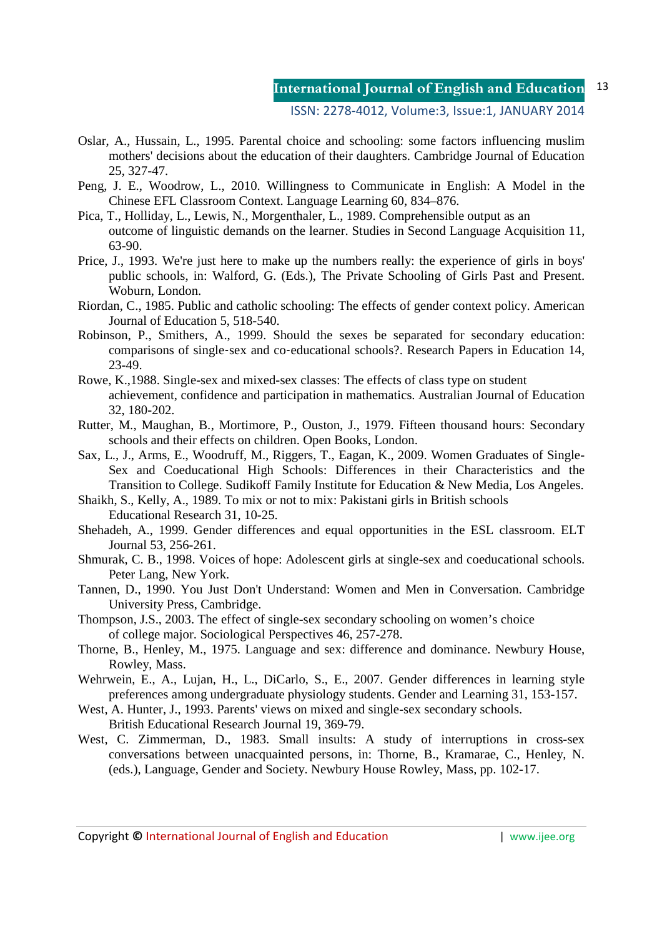- Oslar, A., Hussain, L., 1995. Parental choice and schooling: some factors influencing muslim mothers' decisions about the education of their daughters. Cambridge Journal of Education 25, 327-47.
- Peng, J. E., Woodrow, L., 2010. Willingness to Communicate in English: A Model in the Chinese EFL Classroom Context. Language Learning 60, 834–876.
- Pica, T., Holliday, L., Lewis, N., Morgenthaler, L., 1989. Comprehensible output as an outcome of linguistic demands on the learner. Studies in Second Language Acquisition 11, 63-90.
- Price, J., 1993. We're just here to make up the numbers really: the experience of girls in boys' public schools, in: Walford, G. (Eds.), The Private Schooling of Girls Past and Present. Woburn, London.
- Riordan, C., 1985. Public and catholic schooling: The effects of gender context policy. American Journal of Education 5, 518-540.
- Robinson, P., Smithers, A., 1999. Should the sexes be separated for secondary education: comparisons of single‐sex and co‐educational schools?. Research Papers in Education 14, 23-49.
- Rowe, K.,1988. Single-sex and mixed-sex classes: The effects of class type on student achievement, confidence and participation in mathematics. Australian Journal of Education 32, 180-202.
- Rutter, M., Maughan, B., Mortimore, P., Ouston, J., 1979. Fifteen thousand hours: Secondary schools and their effects on children. Open Books, London.
- Sax, L., J., Arms, E., Woodruff, M., Riggers, T., Eagan, K., 2009. Women Graduates of Single-Sex and Coeducational High Schools: Differences in their Characteristics and the Transition to College. Sudikoff Family Institute for Education & New Media, Los Angeles.
- Shaikh, S., Kelly, A., 1989. To mix or not to mix: Pakistani girls in British schools Educational Research 31, 10-25.
- Shehadeh, A., 1999. Gender differences and equal opportunities in the ESL classroom. ELT Journal 53, 256-261.
- Shmurak, C. B., 1998. Voices of hope: Adolescent girls at single-sex and coeducational schools. Peter Lang, New York.
- Tannen, D., 1990. You Just Don't Understand: Women and Men in Conversation. Cambridge University Press, Cambridge.
- Thompson, J.S., 2003. The effect of single-sex secondary schooling on women's choice of college major. Sociological Perspectives 46, 257-278.
- Thorne, B., Henley, M., 1975. Language and sex: difference and dominance. Newbury House, Rowley, Mass.
- Wehrwein, E., A., Lujan, H., L., DiCarlo, S., E., 2007. Gender differences in learning style preferences among undergraduate physiology students. Gender and Learning 31, 153-157.
- West, A. Hunter, J., 1993. Parents' views on mixed and single-sex secondary schools. British Educational Research Journal 19, 369-79.
- West, C. Zimmerman, D., 1983. Small insults: A study of interruptions in cross-sex conversations between unacquainted persons, in: Thorne, B., Kramarae, C., Henley, N. (eds.), Language, Gender and Society. Newbury House Rowley, Mass, pp. 102-17.